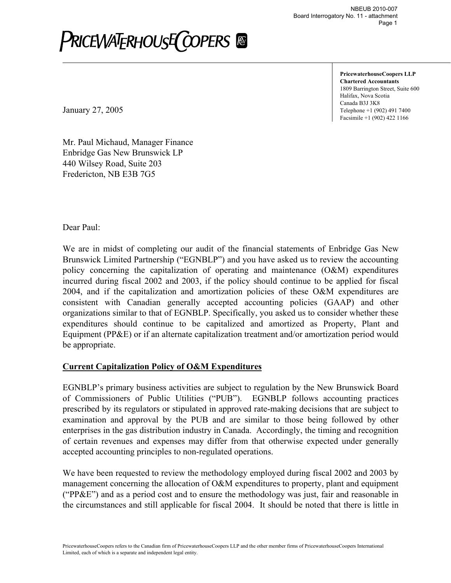**PricewaterhouseCoopers LLP Chartered Accountants** 1809 Barrington Street, Suite 600 Halifax, Nova Scotia Canada B3J 3K8 Telephone +1 (902) 491 7400 Facsimile +1 (902) 422 1166

January 27, 2005

Mr. Paul Michaud, Manager Finance Enbridge Gas New Brunswick LP 440 Wilsey Road, Suite 203 Fredericton, NB E3B 7G5

Dear Paul:

We are in midst of completing our audit of the financial statements of Enbridge Gas New Brunswick Limited Partnership ("EGNBLP") and you have asked us to review the accounting policy concerning the capitalization of operating and maintenance (O&M) expenditures incurred during fiscal 2002 and 2003, if the policy should continue to be applied for fiscal 2004, and if the capitalization and amortization policies of these O&M expenditures are consistent with Canadian generally accepted accounting policies (GAAP) and other organizations similar to that of EGNBLP. Specifically, you asked us to consider whether these expenditures should continue to be capitalized and amortized as Property, Plant and Equipment (PP&E) or if an alternate capitalization treatment and/or amortization period would be appropriate.

#### **Current Capitalization Policy of O&M Expenditures**

EGNBLP's primary business activities are subject to regulation by the New Brunswick Board of Commissioners of Public Utilities ("PUB"). EGNBLP follows accounting practices prescribed by its regulators or stipulated in approved rate-making decisions that are subject to examination and approval by the PUB and are similar to those being followed by other enterprises in the gas distribution industry in Canada. Accordingly, the timing and recognition of certain revenues and expenses may differ from that otherwise expected under generally accepted accounting principles to non-regulated operations.

We have been requested to review the methodology employed during fiscal 2002 and 2003 by management concerning the allocation of O&M expenditures to property, plant and equipment ("PP&E") and as a period cost and to ensure the methodology was just, fair and reasonable in the circumstances and still applicable for fiscal 2004. It should be noted that there is little in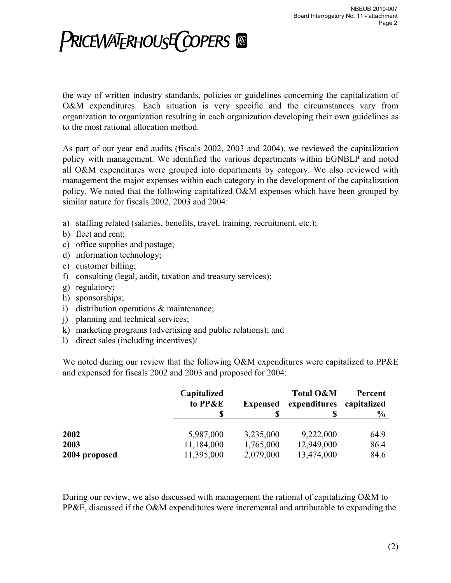the way of written industry standards, policies or guidelines concerning the capitalization of O&M expenditures. Each situation is very specific and the circumstances vary from organization to organization resulting in each organization developing their own guidelines as to the most rational allocation method.

As part of our year end audits (fiscals 2002, 2003 and 2004), we reviewed the capitalization policy with management. We identified the various departments within EGNBLP and noted all O&M expenditures were grouped into departments by category. We also reviewed with management the major expenses within each category in the development of the capitalization policy. We noted that the following capitalized O&M expenses which have been grouped by similar nature for fiscals 2002, 2003 and 2004:

- a) staffing related (salaries, benefits, travel, training, recruitment, etc.);
- b) fleet and rent;
- c) office supplies and postage;
- d) information technology;
- e) customer billing;
- f) consulting (legal, audit, taxation and treasury services);
- g) regulatory;
- h) sponsorships;
- i) distribution operations & maintenance;
- j) planning and technical services;
- k) marketing programs (advertising and public relations); and
- l) direct sales (including incentives)/

We noted during our review that the following O&M expenditures were capitalized to PP&E and expensed for fiscals 2002 and 2003 and proposed for 2004:

|               | Capitalized | to PP&E<br><b>Expensed</b> |              | Percent<br>capitalized |
|---------------|-------------|----------------------------|--------------|------------------------|
|               |             |                            | expenditures | $\frac{6}{9}$          |
| 2002          | 5,987,000   | 3,235,000                  | 9,222,000    | 64.9                   |
| 2003          | 11,184,000  | 1,765,000                  | 12,949,000   | 86.4                   |
| 2004 proposed | 11,395,000  | 2,079,000                  | 13,474,000   | 84.6                   |

During our review, we also discussed with management the rational of capitalizing O&M to PP&E, discussed if the O&M expenditures were incremental and attributable to expanding the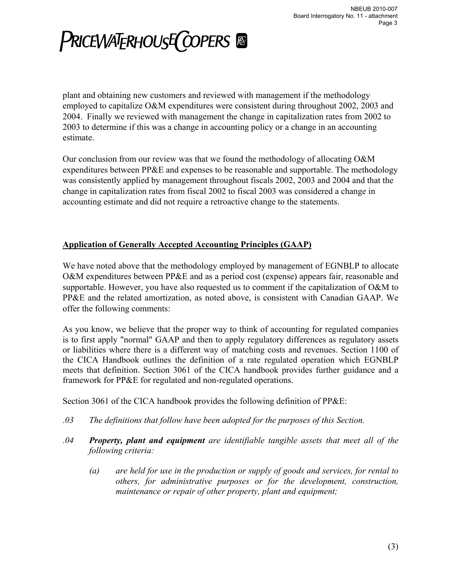plant and obtaining new customers and reviewed with management if the methodology employed to capitalize O&M expenditures were consistent during throughout 2002, 2003 and 2004. Finally we reviewed with management the change in capitalization rates from 2002 to 2003 to determine if this was a change in accounting policy or a change in an accounting estimate.

Our conclusion from our review was that we found the methodology of allocating O&M expenditures between PP&E and expenses to be reasonable and supportable. The methodology was consistently applied by management throughout fiscals 2002, 2003 and 2004 and that the change in capitalization rates from fiscal 2002 to fiscal 2003 was considered a change in accounting estimate and did not require a retroactive change to the statements.

#### **Application of Generally Accepted Accounting Principles (GAAP)**

We have noted above that the methodology employed by management of EGNBLP to allocate O&M expenditures between PP&E and as a period cost (expense) appears fair, reasonable and supportable. However, you have also requested us to comment if the capitalization of O&M to PP&E and the related amortization, as noted above, is consistent with Canadian GAAP. We offer the following comments:

As you know, we believe that the proper way to think of accounting for regulated companies is to first apply "normal" GAAP and then to apply regulatory differences as regulatory assets or liabilities where there is a different way of matching costs and revenues. Section 1100 of the CICA Handbook outlines the definition of a rate regulated operation which EGNBLP meets that definition. Section 3061 of the CICA handbook provides further guidance and a framework for PP&E for regulated and non-regulated operations.

Section 3061 of the CICA handbook provides the following definition of PP&E:

- *.03 The definitions that follow have been adopted for the purposes of this Section.*
- *.04 Property, plant and equipment are identifiable tangible assets that meet all of the following criteria:* 
	- *(a) are held for use in the production or supply of goods and services, for rental to others, for administrative purposes or for the development, construction, maintenance or repair of other property, plant and equipment;*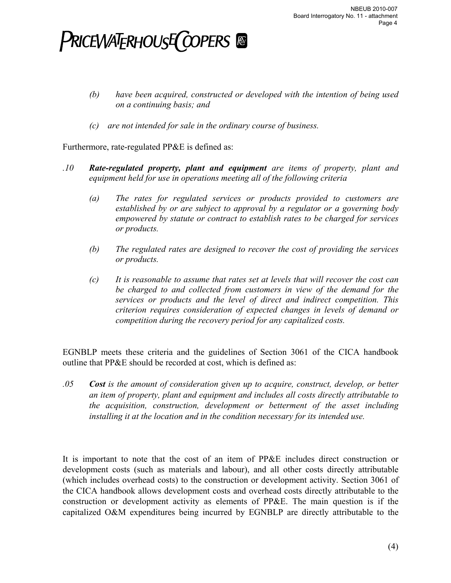- *(b) have been acquired, constructed or developed with the intention of being used on a continuing basis; and*
- *(c) are not intended for sale in the ordinary course of business.*

Furthermore, rate-regulated PP&E is defined as:

- *.10 Rate-regulated property, plant and equipment are items of property, plant and equipment held for use in operations meeting all of the following criteria* 
	- *(a) The rates for regulated services or products provided to customers are established by or are subject to approval by a regulator or a governing body empowered by statute or contract to establish rates to be charged for services or products.*
	- *(b) The regulated rates are designed to recover the cost of providing the services or products.*
	- *(c) It is reasonable to assume that rates set at levels that will recover the cost can be charged to and collected from customers in view of the demand for the services or products and the level of direct and indirect competition. This criterion requires consideration of expected changes in levels of demand or competition during the recovery period for any capitalized costs.*

EGNBLP meets these criteria and the guidelines of Section 3061 of the CICA handbook outline that PP&E should be recorded at cost, which is defined as:

*.05 Cost is the amount of consideration given up to acquire, construct, develop, or better an item of property, plant and equipment and includes all costs directly attributable to the acquisition, construction, development or betterment of the asset including*  installing it at the location and in the condition necessary for its intended use.

It is important to note that the cost of an item of PP&E includes direct construction or development costs (such as materials and labour), and all other costs directly attributable (which includes overhead costs) to the construction or development activity. Section 3061 of the CICA handbook allows development costs and overhead costs directly attributable to the construction or development activity as elements of PP&E. The main question is if the capitalized O&M expenditures being incurred by EGNBLP are directly attributable to the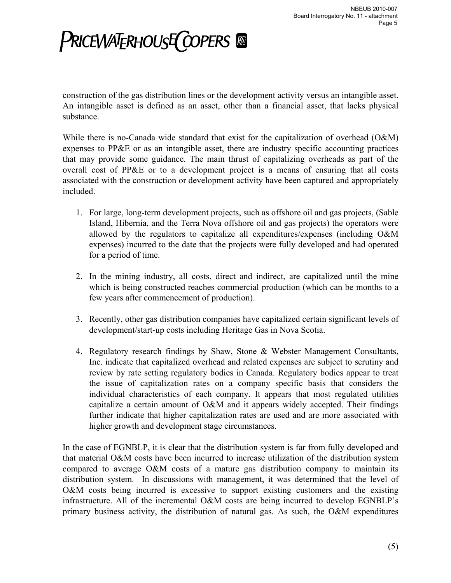construction of the gas distribution lines or the development activity versus an intangible asset. An intangible asset is defined as an asset, other than a financial asset, that lacks physical substance.

While there is no-Canada wide standard that exist for the capitalization of overhead (O&M) expenses to PP&E or as an intangible asset, there are industry specific accounting practices that may provide some guidance. The main thrust of capitalizing overheads as part of the overall cost of PP&E or to a development project is a means of ensuring that all costs associated with the construction or development activity have been captured and appropriately included.

- 1. For large, long-term development projects, such as offshore oil and gas projects, (Sable Island, Hibernia, and the Terra Nova offshore oil and gas projects) the operators were allowed by the regulators to capitalize all expenditures/expenses (including O&M expenses) incurred to the date that the projects were fully developed and had operated for a period of time.
- 2. In the mining industry, all costs, direct and indirect, are capitalized until the mine which is being constructed reaches commercial production (which can be months to a few years after commencement of production).
- 3. Recently, other gas distribution companies have capitalized certain significant levels of development/start-up costs including Heritage Gas in Nova Scotia.
- 4. Regulatory research findings by Shaw, Stone & Webster Management Consultants, Inc. indicate that capitalized overhead and related expenses are subject to scrutiny and review by rate setting regulatory bodies in Canada. Regulatory bodies appear to treat the issue of capitalization rates on a company specific basis that considers the individual characteristics of each company. It appears that most regulated utilities capitalize a certain amount of O&M and it appears widely accepted. Their findings further indicate that higher capitalization rates are used and are more associated with higher growth and development stage circumstances.

In the case of EGNBLP, it is clear that the distribution system is far from fully developed and that material O&M costs have been incurred to increase utilization of the distribution system compared to average O&M costs of a mature gas distribution company to maintain its distribution system. In discussions with management, it was determined that the level of O&M costs being incurred is excessive to support existing customers and the existing infrastructure. All of the incremental O&M costs are being incurred to develop EGNBLP's primary business activity, the distribution of natural gas. As such, the O&M expenditures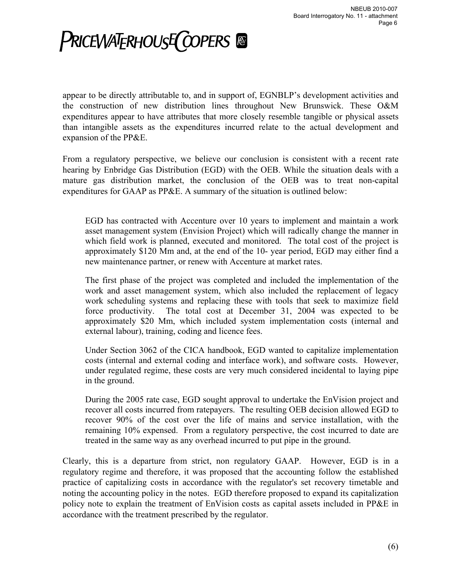appear to be directly attributable to, and in support of, EGNBLP's development activities and the construction of new distribution lines throughout New Brunswick. These O&M expenditures appear to have attributes that more closely resemble tangible or physical assets than intangible assets as the expenditures incurred relate to the actual development and expansion of the PP&E.

From a regulatory perspective, we believe our conclusion is consistent with a recent rate hearing by Enbridge Gas Distribution (EGD) with the OEB. While the situation deals with a mature gas distribution market, the conclusion of the OEB was to treat non-capital expenditures for GAAP as PP&E. A summary of the situation is outlined below:

EGD has contracted with Accenture over 10 years to implement and maintain a work asset management system (Envision Project) which will radically change the manner in which field work is planned, executed and monitored. The total cost of the project is approximately \$120 Mm and, at the end of the 10- year period, EGD may either find a new maintenance partner, or renew with Accenture at market rates.

The first phase of the project was completed and included the implementation of the work and asset management system, which also included the replacement of legacy work scheduling systems and replacing these with tools that seek to maximize field force productivity. The total cost at December 31, 2004 was expected to be approximately \$20 Mm, which included system implementation costs (internal and external labour), training, coding and licence fees.

Under Section 3062 of the CICA handbook, EGD wanted to capitalize implementation costs (internal and external coding and interface work), and software costs. However, under regulated regime, these costs are very much considered incidental to laying pipe in the ground.

During the 2005 rate case, EGD sought approval to undertake the EnVision project and recover all costs incurred from ratepayers. The resulting OEB decision allowed EGD to recover 90% of the cost over the life of mains and service installation, with the remaining 10% expensed. From a regulatory perspective, the cost incurred to date are treated in the same way as any overhead incurred to put pipe in the ground.

Clearly, this is a departure from strict, non regulatory GAAP. However, EGD is in a regulatory regime and therefore, it was proposed that the accounting follow the established practice of capitalizing costs in accordance with the regulator's set recovery timetable and noting the accounting policy in the notes. EGD therefore proposed to expand its capitalization policy note to explain the treatment of EnVision costs as capital assets included in PP&E in accordance with the treatment prescribed by the regulator.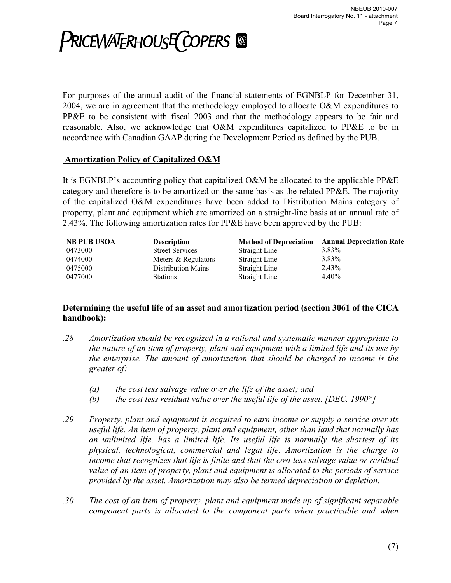

For purposes of the annual audit of the financial statements of EGNBLP for December 31, 2004, we are in agreement that the methodology employed to allocate O&M expenditures to PP&E to be consistent with fiscal 2003 and that the methodology appears to be fair and reasonable. Also, we acknowledge that O&M expenditures capitalized to PP&E to be in accordance with Canadian GAAP during the Development Period as defined by the PUB.

#### **Amortization Policy of Capitalized O&M**

It is EGNBLP's accounting policy that capitalized O&M be allocated to the applicable PP&E category and therefore is to be amortized on the same basis as the related PP&E. The majority of the capitalized O&M expenditures have been added to Distribution Mains category of property, plant and equipment which are amortized on a straight-line basis at an annual rate of 2.43%. The following amortization rates for PP&E have been approved by the PUB:

| <b>NB PUB USOA</b> | <b>Description</b>        | <b>Method of Depreciation</b> | <b>Annual Depreciation Rate</b> |
|--------------------|---------------------------|-------------------------------|---------------------------------|
| 0473000            | <b>Street Services</b>    | Straight Line                 | 3.83%                           |
| 0474000            | Meters & Regulators       | Straight Line                 | $3.83\%$                        |
| 0475000            | <b>Distribution Mains</b> | Straight Line                 | 2.43%                           |
| 0477000            | <b>Stations</b>           | Straight Line                 | 4.40%                           |

#### **Determining the useful life of an asset and amortization period (section 3061 of the CICA handbook):**

- *.28 Amortization should be recognized in a rational and systematic manner appropriate to the nature of an item of property, plant and equipment with a limited life and its use by the enterprise. The amount of amortization that should be charged to income is the greater of:* 
	- *(a) the cost less salvage value over the life of the asset; and*
	- *(b) the cost less residual value over the useful life of the asset. [DEC. 1990\*]*
- *.29 Property, plant and equipment is acquired to earn income or supply a service over its useful life. An item of property, plant and equipment, other than land that normally has an unlimited life, has a limited life. Its useful life is normally the shortest of its physical, technological, commercial and legal life. Amortization is the charge to income that recognizes that life is finite and that the cost less salvage value or residual value of an item of property, plant and equipment is allocated to the periods of service provided by the asset. Amortization may also be termed depreciation or depletion.*
- *.30 The cost of an item of property, plant and equipment made up of significant separable component parts is allocated to the component parts when practicable and when*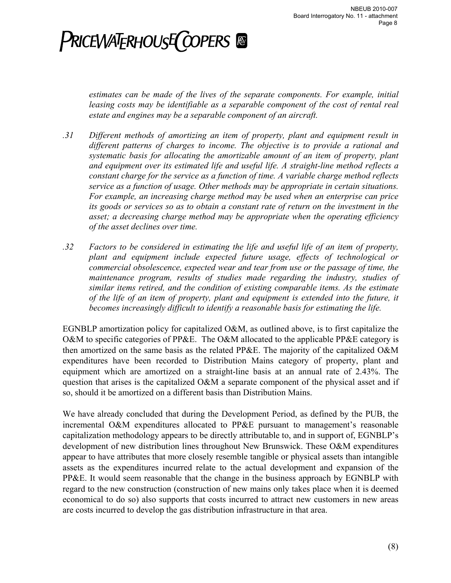*estimates can be made of the lives of the separate components. For example, initial leasing costs may be identifiable as a separable component of the cost of rental real estate and engines may be a separable component of an aircraft.* 

- *.31 Different methods of amortizing an item of property, plant and equipment result in different patterns of charges to income. The objective is to provide a rational and systematic basis for allocating the amortizable amount of an item of property, plant and equipment over its estimated life and useful life. A straight-line method reflects a constant charge for the service as a function of time. A variable charge method reflects service as a function of usage. Other methods may be appropriate in certain situations. For example, an increasing charge method may be used when an enterprise can price its goods or services so as to obtain a constant rate of return on the investment in the asset; a decreasing charge method may be appropriate when the operating efficiency of the asset declines over time.*
- *.32 Factors to be considered in estimating the life and useful life of an item of property, plant and equipment include expected future usage, effects of technological or commercial obsolescence, expected wear and tear from use or the passage of time, the maintenance program, results of studies made regarding the industry, studies of similar items retired, and the condition of existing comparable items. As the estimate of the life of an item of property, plant and equipment is extended into the future, it becomes increasingly difficult to identify a reasonable basis for estimating the life.*

EGNBLP amortization policy for capitalized O&M, as outlined above, is to first capitalize the O&M to specific categories of PP&E. The O&M allocated to the applicable PP&E category is then amortized on the same basis as the related PP&E. The majority of the capitalized O&M expenditures have been recorded to Distribution Mains category of property, plant and equipment which are amortized on a straight-line basis at an annual rate of 2.43%. The question that arises is the capitalized  $O\&M$  a separate component of the physical asset and if so, should it be amortized on a different basis than Distribution Mains.

We have already concluded that during the Development Period, as defined by the PUB, the incremental O&M expenditures allocated to PP&E pursuant to management's reasonable capitalization methodology appears to be directly attributable to, and in support of, EGNBLP's development of new distribution lines throughout New Brunswick. These O&M expenditures appear to have attributes that more closely resemble tangible or physical assets than intangible assets as the expenditures incurred relate to the actual development and expansion of the PP&E. It would seem reasonable that the change in the business approach by EGNBLP with regard to the new construction (construction of new mains only takes place when it is deemed economical to do so) also supports that costs incurred to attract new customers in new areas are costs incurred to develop the gas distribution infrastructure in that area.